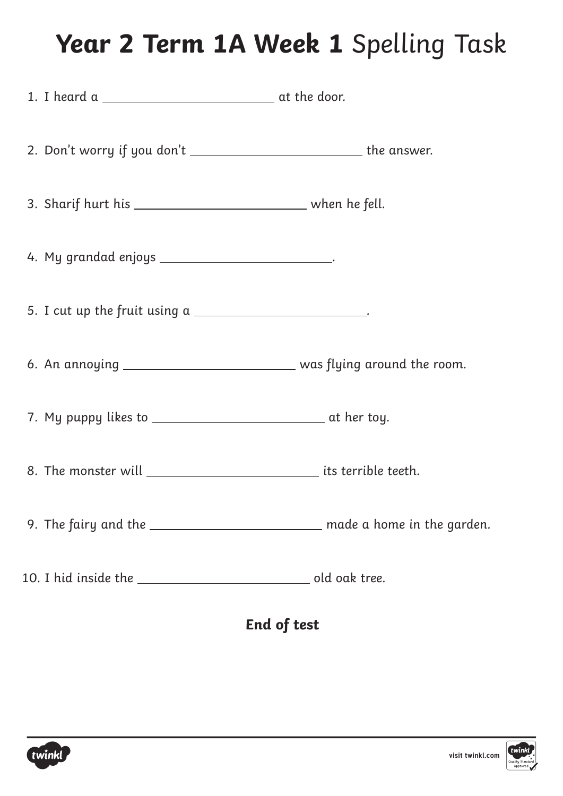### **Year 2 Term 1A Week 1** Spelling Task

| 2. Don't worry if you don't _______________________________ the answer.       |  |
|-------------------------------------------------------------------------------|--|
|                                                                               |  |
| 4. My grandad enjoys __________________________.                              |  |
| 5. I cut up the fruit using $a$ _________________________.                    |  |
| 6. An annoying ________________________________ was flying around the room.   |  |
|                                                                               |  |
| 8. The monster will _________________________________ its terrible teeth.     |  |
| 9. The fairy and the _____________________________ made a home in the garden. |  |
|                                                                               |  |

#### **End of test**

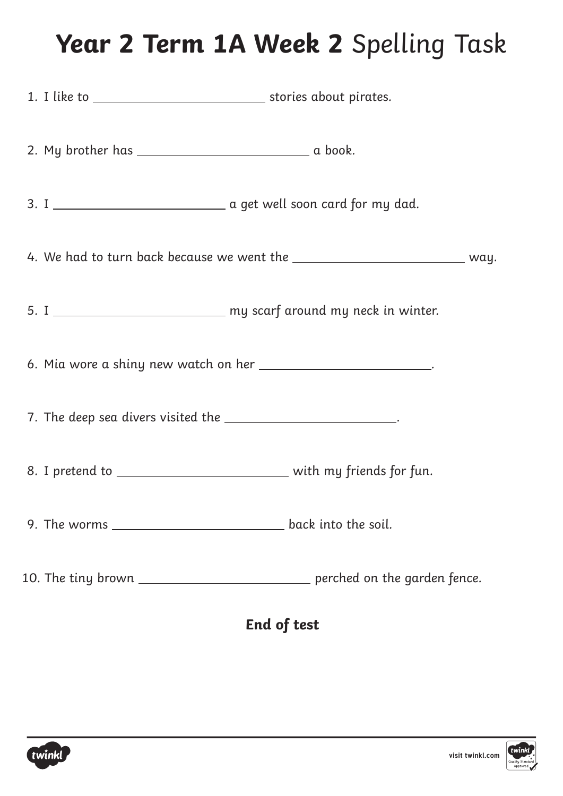### **Year 2 Term 1A Week 2** Spelling Task

|                    |                                                               | 4. We had to turn back because we went the ________________________________ way. |  |  |
|--------------------|---------------------------------------------------------------|----------------------------------------------------------------------------------|--|--|
|                    |                                                               | 5. I _______________________________ my scarf around my neck in winter.          |  |  |
|                    |                                                               | 6. Mia wore a shiny new watch on her ___________________________.                |  |  |
|                    | 7. The deep sea divers visited the _________________________. |                                                                                  |  |  |
|                    |                                                               | 8. I pretend to _______________________________ with my friends for fun.         |  |  |
|                    |                                                               |                                                                                  |  |  |
|                    |                                                               | 10. The tiny brown ________________________________ perched on the garden fence. |  |  |
| <b>End of test</b> |                                                               |                                                                                  |  |  |

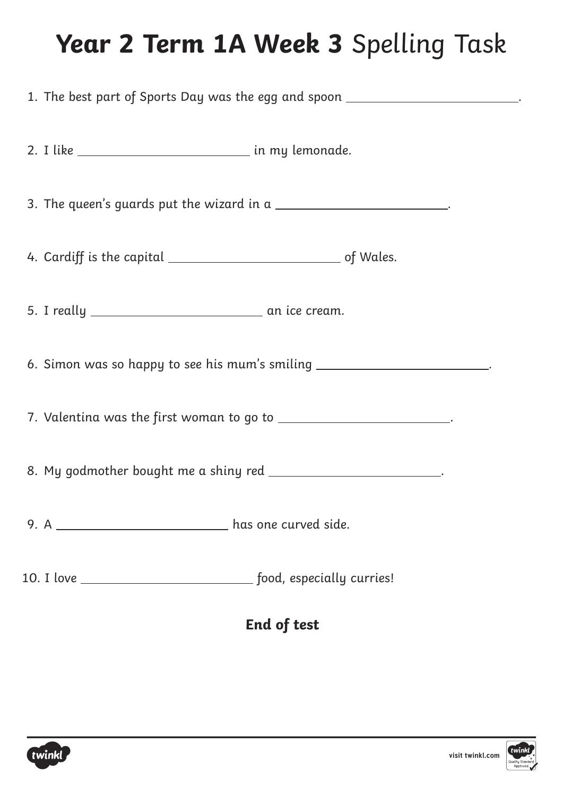# **Year 2 Term 1A Week 3** Spelling Task

| 1. The best part of Sports Day was the egg and spoon __________________________. |  |  |  |  |
|----------------------------------------------------------------------------------|--|--|--|--|
| 2. I like _________________________________ in my lemonade.                      |  |  |  |  |
| 3. The queen's guards put the wizard in a __________________________.            |  |  |  |  |
|                                                                                  |  |  |  |  |
|                                                                                  |  |  |  |  |
| 6. Simon was so happy to see his mum's smiling __________________________.       |  |  |  |  |
| 7. Valentina was the first woman to go to _________________________.             |  |  |  |  |
| 8. My godmother bought me a shiny red _________________________.                 |  |  |  |  |
| 9. A _________________________________ has one curved side.                      |  |  |  |  |
|                                                                                  |  |  |  |  |
| End of test                                                                      |  |  |  |  |

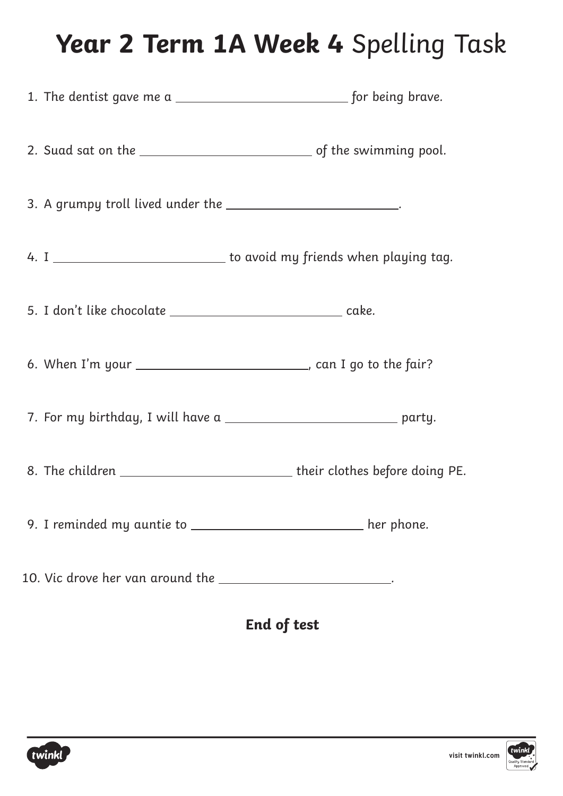# **Year 2 Term 1A Week 4** Spelling Task

| 3. A grumpy troll lived under the ____________________________.   |                                                                                |
|-------------------------------------------------------------------|--------------------------------------------------------------------------------|
|                                                                   | 4. I ________________________________ to avoid my friends when playing tag.    |
| 5. I don't like chocolate _________________________________ cake. |                                                                                |
|                                                                   | 6. When I'm your _____________________________, can I go to the fair?          |
|                                                                   | 7. For my birthday, I will have a _______________________________ party.       |
|                                                                   | 8. The children ________________________________their clothes before doing PE. |
|                                                                   | 9. I reminded my auntie to __________________________ her phone.               |
| 10. Vic drove her van around the ________________________.        |                                                                                |
|                                                                   |                                                                                |

**End of test**

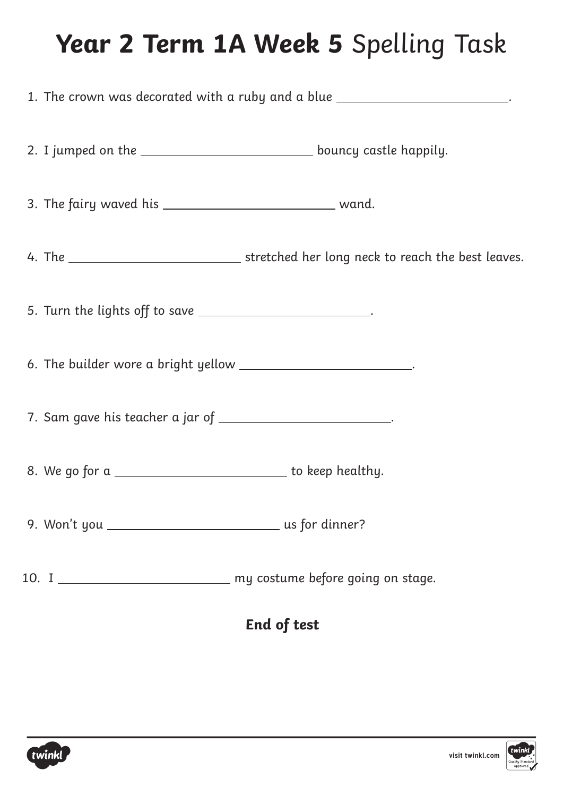### **Year 2 Term 1A Week 5** Spelling Task

| 1. The crown was decorated with a ruby and a blue _________________________. |                                                                  |                                                                          |  |  |  |
|------------------------------------------------------------------------------|------------------------------------------------------------------|--------------------------------------------------------------------------|--|--|--|
|                                                                              |                                                                  |                                                                          |  |  |  |
|                                                                              |                                                                  |                                                                          |  |  |  |
|                                                                              |                                                                  |                                                                          |  |  |  |
|                                                                              | 5. Turn the lights off to save _________________________.        |                                                                          |  |  |  |
|                                                                              | 6. The builder wore a bright yellow __________________________.  |                                                                          |  |  |  |
|                                                                              | 7. Sam gave his teacher a jar of _________________________.      |                                                                          |  |  |  |
|                                                                              | 8. We go for a ________________________________ to keep healthy. |                                                                          |  |  |  |
|                                                                              |                                                                  |                                                                          |  |  |  |
|                                                                              |                                                                  | 10. I ________________________________ my costume before going on stage. |  |  |  |
|                                                                              | <b>End of test</b>                                               |                                                                          |  |  |  |